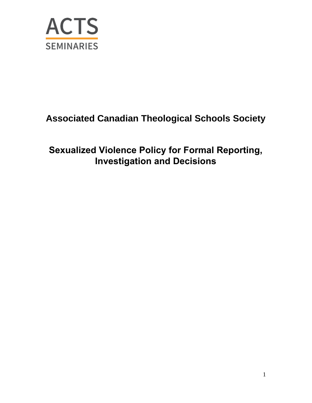

# **Associated Canadian Theological Schools Society**

# **Sexualized Violence Policy for Formal Reporting, Investigation and Decisions**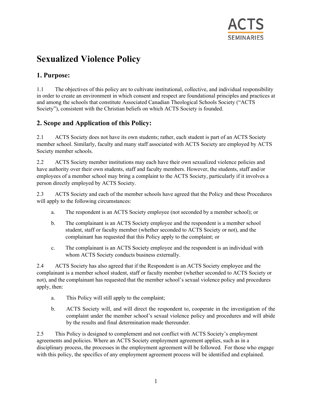

# **Sexualized Violence Policy**

# **1. Purpose:**

1.1 The objectives of this policy are to cultivate institutional, collective, and individual responsibility in order to create an environment in which consent and respect are foundational principles and practices at and among the schools that constitute Associated Canadian Theological Schools Society ("ACTS Society"), consistent with the Christian beliefs on which ACTS Society is founded.

## **2. Scope and Application of this Policy:**

2.1 ACTS Society does not have its own students; rather, each student is part of an ACTS Society member school. Similarly, faculty and many staff associated with ACTS Society are employed by ACTS Society member schools.

2.2 ACTS Society member institutions may each have their own sexualized violence policies and have authority over their own students, staff and faculty members. However, the students, staff and/or employees of a member school may bring a complaint to the ACTS Society, particularly if it involves a person directly employed by ACTS Society.

2.3 ACTS Society and each of the member schools have agreed that the Policy and these Procedures will apply to the following circumstances:

- a. The respondent is an ACTS Society employee (not seconded by a member school); or
- b. The complainant is an ACTS Society employee and the respondent is a member school student, staff or faculty member (whether seconded to ACTS Society or not), and the complainant has requested that this Policy apply to the complaint; or
- c. The complainant is an ACTS Society employee and the respondent is an individual with whom ACTS Society conducts business externally.

2.4 ACTS Society has also agreed that if the Respondent is an ACTS Society employee and the complainant is a member school student, staff or faculty member (whether seconded to ACTS Society or not), and the complainant has requested that the member school's sexual violence policy and procedures apply, then:

- a. This Policy will still apply to the complaint;
- b. ACTS Society will, and will direct the respondent to, cooperate in the investigation of the complaint under the member school's sexual violence policy and procedures and will abide by the results and final determination made thereunder.

2.5 This Policy is designed to complement and not conflict with ACTS Society's employment agreements and policies. Where an ACTS Society employment agreement applies, such as in a disciplinary process, the processes in the employment agreement will be followed. For those who engage with this policy, the specifics of any employment agreement process will be identified and explained.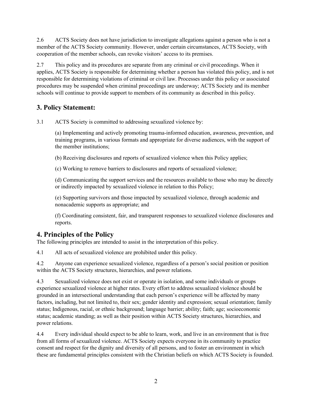2.6 ACTS Society does not have jurisdiction to investigate allegations against a person who is not a member of the ACTS Society community. However, under certain circumstances, ACTS Society, with cooperation of the member schools, can revoke visitors' access to its premises.

2.7 This policy and its procedures are separate from any criminal or civil proceedings. When it applies, ACTS Society is responsible for determining whether a person has violated this policy, and is not responsible for determining violations of criminal or civil law. Processes under this policy or associated procedures may be suspended when criminal proceedings are underway; ACTS Society and its member schools will continue to provide support to members of its community as described in this policy.

## **3. Policy Statement:**

3.1 ACTS Society is committed to addressing sexualized violence by:

(a) Implementing and actively promoting trauma-informed education, awareness, prevention, and training programs, in various formats and appropriate for diverse audiences, with the support of the member institutions;

(b) Receiving disclosures and reports of sexualized violence when this Policy applies;

(c) Working to remove barriers to disclosures and reports of sexualized violence;

(d) Communicating the support services and the resources available to those who may be directly or indirectly impacted by sexualized violence in relation to this Policy;

(e) Supporting survivors and those impacted by sexualized violence, through academic and nonacademic supports as appropriate; and

(f) Coordinating consistent, fair, and transparent responses to sexualized violence disclosures and reports.

## **4. Principles of the Policy**

The following principles are intended to assist in the interpretation of this policy.

4.1 All acts of sexualized violence are prohibited under this policy.

4.2 Anyone can experience sexualized violence, regardless of a person's social position or position within the ACTS Society structures, hierarchies, and power relations.

4.3 Sexualized violence does not exist or operate in isolation, and some individuals or groups experience sexualized violence at higher rates. Every effort to address sexualized violence should be grounded in an intersectional understanding that each person's experience will be affected by many factors, including, but not limited to, their sex; gender identity and expression; sexual orientation; family status; Indigenous, racial, or ethnic background; language barrier; ability; faith; age; socioeconomic status; academic standing; as well as their position within ACTS Society structures, hierarchies, and power relations.

4.4 Every individual should expect to be able to learn, work, and live in an environment that is free from all forms of sexualized violence. ACTS Society expects everyone in its community to practice consent and respect for the dignity and diversity of all persons, and to foster an environment in which these are fundamental principles consistent with the Christian beliefs on which ACTS Society is founded.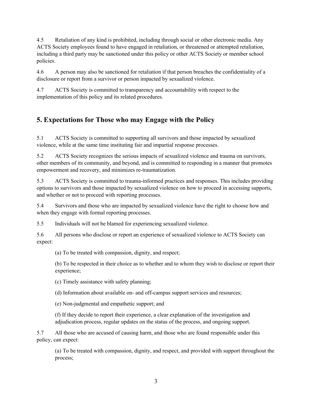4.5 Retaliation of any kind is prohibited, including through social or other electronic media. Any ACTS Society employees found to have engaged in retaliation, or threatened or attempted retaliation, including a third party may be sanctioned under this policy or other ACTS Society or member school policies.

4.6 A person may also be sanctioned for retaliation if that person breaches the confidentiality of a disclosure or report from a survivor or person impacted by sexualized violence.

4.7 ACTS Society is committed to transparency and accountability with respect to the implementation of this policy and its related procedures.

# **5. Expectations for Those who may Engage with the Policy**

5.1 ACTS Society is committed to supporting all survivors and those impacted by sexualized violence, while at the same time instituting fair and impartial response processes.

5.2 ACTS Society recognizes the serious impacts of sexualized violence and trauma on survivors, other members of its community, and beyond, and is committed to responding in a manner that promotes empowerment and recovery, and minimizes re-traumatization.

5.3 ACTS Society is committed to trauma-informed practices and responses. This includes providing options to survivors and those impacted by sexualized violence on how to proceed in accessing supports, and whether or not to proceed with reporting processes.

5.4 Survivors and those who are impacted by sexualized violence have the right to choose how and when they engage with formal reporting processes.

5.5 Individuals will not be blamed for experiencing sexualized violence.

5.6 All persons who disclose or report an experience of sexualized violence to ACTS Society can expect:

(a) To be treated with compassion, dignity, and respect;

(b) To be respected in their choice as to whether and to whom they wish to disclose or report their experience;

(c) Timely assistance with safety planning;

(d) Information about available on- and off-campus support services and resources;

(e) Non-judgmental and empathetic support; and

(f) If they decide to report their experience, a clear explanation of the investigation and adjudication process, regular updates on the status of the process, and ongoing support.

5.7 All those who are accused of causing harm, and those who are found responsible under this policy, can expect:

(a) To be treated with compassion, dignity, and respect, and provided with support throughout the process;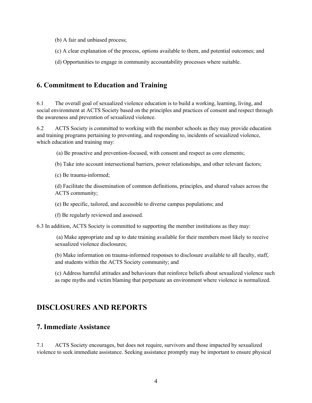- (b) A fair and unbiased process;
- (c) A clear explanation of the process, options available to them, and potential outcomes; and
- (d) Opportunities to engage in community accountability processes where suitable.

### **6. Commitment to Education and Training**

6.1 The overall goal of sexualized violence education is to build a working, learning, living, and social environment at ACTS Society based on the principles and practices of consent and respect through the awareness and prevention of sexualized violence.

6.2 ACTS Society is committed to working with the member schools as they may provide education and training programs pertaining to preventing, and responding to, incidents of sexualized violence, which education and training may:

(a) Be proactive and prevention-focused, with consent and respect as core elements;

(b) Take into account intersectional barriers, power relationships, and other relevant factors;

(c) Be trauma-informed;

(d) Facilitate the dissemination of common definitions, principles, and shared values across the ACTS community;

(e) Be specific, tailored, and accessible to diverse campus populations; and

(f) Be regularly reviewed and assessed.

6.3 In addition, ACTS Society is committed to supporting the member institutions as they may:

(a) Make appropriate and up to date training available for their members most likely to receive sexualized violence disclosures;

(b) Make information on trauma-informed responses to disclosure available to all faculty, staff, and students within the ACTS Society community; and

(c) Address harmful attitudes and behaviours that reinforce beliefs about sexualized violence such as rape myths and victim blaming that perpetuate an environment where violence is normalized.

# **DISCLOSURES AND REPORTS**

#### **7. Immediate Assistance**

7.1 ACTS Society encourages, but does not require, survivors and those impacted by sexualized violence to seek immediate assistance. Seeking assistance promptly may be important to ensure physical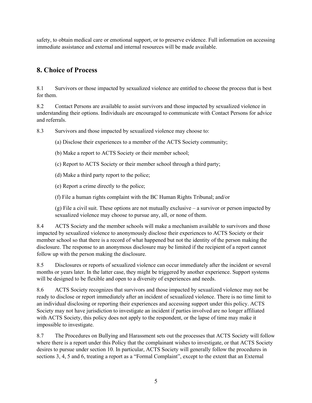safety, to obtain medical care or emotional support, or to preserve evidence. Full information on accessing immediate assistance and external and internal resources will be made available.

## **8. Choice of Process**

8.1 Survivors or those impacted by sexualized violence are entitled to choose the process that is best for them.

8.2 Contact Persons are available to assist survivors and those impacted by sexualized violence in understanding their options. Individuals are encouraged to communicate with Contact Persons for advice and referrals.

8.3 Survivors and those impacted by sexualized violence may choose to:

(a) Disclose their experiences to a member of the ACTS Society community;

(b) Make a report to ACTS Society or their member school;

(c) Report to ACTS Society or their member school through a third party;

(d) Make a third party report to the police;

(e) Report a crime directly to the police;

(f) File a human rights complaint with the BC Human Rights Tribunal; and/or

(g) File a civil suit. These options are not mutually exclusive – a survivor or person impacted by sexualized violence may choose to pursue any, all, or none of them.

8.4 ACTS Society and the member schools will make a mechanism available to survivors and those impacted by sexualized violence to anonymously disclose their experiences to ACTS Society or their member school so that there is a record of what happened but not the identity of the person making the disclosure. The response to an anonymous disclosure may be limited if the recipient of a report cannot follow up with the person making the disclosure.

8.5 Disclosures or reports of sexualized violence can occur immediately after the incident or several months or years later. In the latter case, they might be triggered by another experience. Support systems will be designed to be flexible and open to a diversity of experiences and needs.

8.6 ACTS Society recognizes that survivors and those impacted by sexualized violence may not be ready to disclose or report immediately after an incident of sexualized violence. There is no time limit to an individual disclosing or reporting their experiences and accessing support under this policy. ACTS Society may not have jurisdiction to investigate an incident if parties involved are no longer affiliated with ACTS Society, this policy does not apply to the respondent, or the lapse of time may make it impossible to investigate.

8.7 The Procedures on Bullying and Harassment sets out the processes that ACTS Society will follow where there is a report under this Policy that the complainant wishes to investigate, or that ACTS Society desires to pursue under section 10. In particular, ACTS Society will generally follow the procedures in sections 3, 4, 5 and 6, treating a report as a "Formal Complaint", except to the extent that an External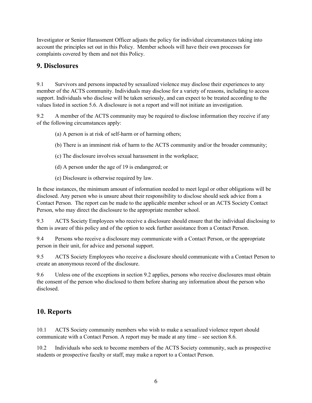Investigator or Senior Harassment Officer adjusts the policy for individual circumstances taking into account the principles set out in this Policy. Member schools will have their own processes for complaints covered by them and not this Policy.

## **9. Disclosures**

9.1 Survivors and persons impacted by sexualized violence may disclose their experiences to any member of the ACTS community. Individuals may disclose for a variety of reasons, including to access support. Individuals who disclose will be taken seriously, and can expect to be treated according to the values listed in section 5.6. A disclosure is not a report and will not initiate an investigation.

9.2 A member of the ACTS community may be required to disclose information they receive if any of the following circumstances apply:

- (a) A person is at risk of self-harm or of harming others;
- (b) There is an imminent risk of harm to the ACTS community and/or the broader community;
- (c) The disclosure involves sexual harassment in the workplace;
- (d) A person under the age of 19 is endangered; or
- (e) Disclosure is otherwise required by law.

In these instances, the minimum amount of information needed to meet legal or other obligations will be disclosed. Any person who is unsure about their responsibility to disclose should seek advice from a Contact Person. The report can be made to the applicable member school or an ACTS Society Contact Person, who may direct the disclosure to the appropriate member school.

9.3 ACTS Society Employees who receive a disclosure should ensure that the individual disclosing to them is aware of this policy and of the option to seek further assistance from a Contact Person.

9.4 Persons who receive a disclosure may communicate with a Contact Person, or the appropriate person in their unit, for advice and personal support.

9.5 ACTS Society Employees who receive a disclosure should communicate with a Contact Person to create an anonymous record of the disclosure.

9.6 Unless one of the exceptions in section 9.2 applies, persons who receive disclosures must obtain the consent of the person who disclosed to them before sharing any information about the person who disclosed.

# **10. Reports**

10.1 ACTS Society community members who wish to make a sexualized violence report should communicate with a Contact Person. A report may be made at any time – see section 8.6.

10.2 Individuals who seek to become members of the ACTS Society community, such as prospective students or prospective faculty or staff, may make a report to a Contact Person.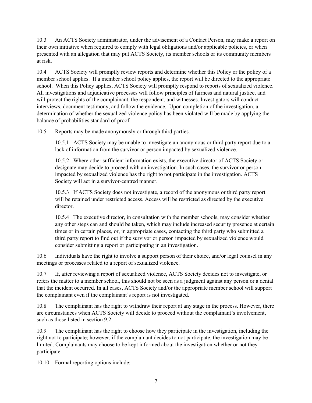10.3 An ACTS Society administrator, under the advisement of a Contact Person, may make a report on their own initiative when required to comply with legal obligations and/or applicable policies, or when presented with an allegation that may put ACTS Society, its member schools or its community members at risk.

10.4 ACTS Society will promptly review reports and determine whether this Policy or the policy of a member school applies. If a member school policy applies, the report will be directed to the appropriate school. When this Policy applies, ACTS Society will promptly respond to reports of sexualized violence. All investigations and adjudicative processes will follow principles of fairness and natural justice, and will protect the rights of the complainant, the respondent, and witnesses. Investigators will conduct interviews, document testimony, and follow the evidence. Upon completion of the investigation, a determination of whether the sexualized violence policy has been violated will be made by applying the balance of probabilities standard of proof.

10.5 Reports may be made anonymously or through third parties.

10.5.1 ACTS Society may be unable to investigate an anonymous or third party report due to a lack of information from the survivor or person impacted by sexualized violence.

10.5.2 Where other sufficient information exists, the executive director of ACTS Society or designate may decide to proceed with an investigation. In such cases, the survivor or person impacted by sexualized violence has the right to not participate in the investigation. ACTS Society will act in a survivor-centred manner.

10.5.3 If ACTS Society does not investigate, a record of the anonymous or third party report will be retained under restricted access. Access will be restricted as directed by the executive director.

10.5.4 The executive director, in consultation with the member schools, may consider whether any other steps can and should be taken, which may include increased security presence at certain times or in certain places, or, in appropriate cases, contacting the third party who submitted a third party report to find out if the survivor or person impacted by sexualized violence would consider submitting a report or participating in an investigation.

10.6 Individuals have the right to involve a support person of their choice, and/or legal counsel in any meetings or processes related to a report of sexualized violence.

10.7 If, after reviewing a report of sexualized violence, ACTS Society decides not to investigate, or refers the matter to a member school, this should not be seen as a judgment against any person or a denial that the incident occurred. In all cases, ACTS Society and/or the appropriate member school will support the complainant even if the complainant's report is not investigated.

10.8 The complainant has the right to withdraw their report at any stage in the process. However, there are circumstances when ACTS Society will decide to proceed without the complainant's involvement, such as those listed in section 9.2.

10.9 The complainant has the right to choose how they participate in the investigation, including the right not to participate; however, if the complainant decides to not participate, the investigation may be limited. Complainants may choose to be kept informed about the investigation whether or not they participate.

10.10 Formal reporting options include: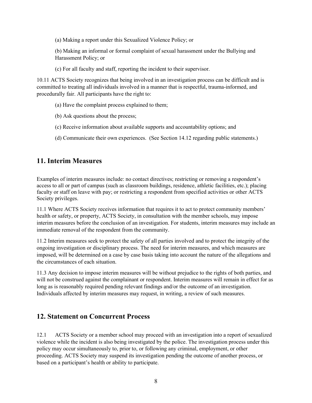(a) Making a report under this Sexualized Violence Policy; or

(b) Making an informal or formal complaint of sexual harassment under the Bullying and Harassment Policy; or

(c) For all faculty and staff, reporting the incident to their supervisor.

10.11 ACTS Society recognizes that being involved in an investigation process can be difficult and is committed to treating all individuals involved in a manner that is respectful, trauma-informed, and procedurally fair. All participants have the right to:

- (a) Have the complaint process explained to them;
- (b) Ask questions about the process;
- (c) Receive information about available supports and accountability options; and
- (d) Communicate their own experiences. (See Section 14.12 regarding public statements.)

#### **11. Interim Measures**

Examples of interim measures include: no contact directives; restricting or removing a respondent's access to all or part of campus (such as classroom buildings, residence, athletic facilities, etc.); placing faculty or staff on leave with pay; or restricting a respondent from specified activities or other ACTS Society privileges.

11.1 Where ACTS Society receives information that requires it to act to protect community members' health or safety, or property, ACTS Society, in consultation with the member schools, may impose interim measures before the conclusion of an investigation. For students, interim measures may include an immediate removal of the respondent from the community.

11.2 Interim measures seek to protect the safety of all parties involved and to protect the integrity of the ongoing investigation or disciplinary process. The need for interim measures, and which measures are imposed, will be determined on a case by case basis taking into account the nature of the allegations and the circumstances of each situation.

11.3 Any decision to impose interim measures will be without prejudice to the rights of both parties, and will not be construed against the complainant or respondent. Interim measures will remain in effect for as long as is reasonably required pending relevant findings and/or the outcome of an investigation. Individuals affected by interim measures may request, in writing, a review of such measures.

#### **12. Statement on Concurrent Process**

12.1 ACTS Society or a member school may proceed with an investigation into a report of sexualized violence while the incident is also being investigated by the police. The investigation process under this policy may occur simultaneously to, prior to, or following any criminal, employment, or other proceeding. ACTS Society may suspend its investigation pending the outcome of another process, or based on a participant's health or ability to participate.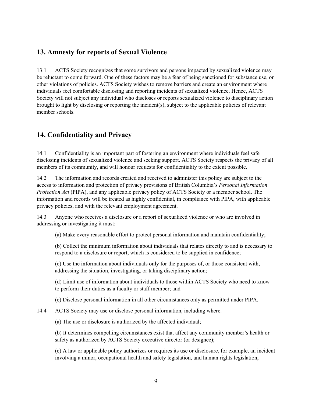### **13. Amnesty for reports of Sexual Violence**

13.1 ACTS Society recognizes that some survivors and persons impacted by sexualized violence may be reluctant to come forward. One of these factors may be a fear of being sanctioned for substance use, or other violations of policies. ACTS Society wishes to remove barriers and create an environment where individuals feel comfortable disclosing and reporting incidents of sexualized violence. Hence, ACTS Society will not subject any individual who discloses or reports sexualized violence to disciplinary action brought to light by disclosing or reporting the incident(s), subject to the applicable policies of relevant member schools.

# **14. Confidentiality and Privacy**

14.1 Confidentiality is an important part of fostering an environment where individuals feel safe disclosing incidents of sexualized violence and seeking support. ACTS Society respects the privacy of all members of its community, and will honour requests for confidentiality to the extent possible.

14.2 The information and records created and received to administer this policy are subject to the access to information and protection of privacy provisions of British Columbia's *Personal Information Protection Act* (PIPA), and any applicable privacy policy of ACTS Society or a member school. The information and records will be treated as highly confidential, in compliance with PIPA, with applicable privacy policies, and with the relevant employment agreement.

14.3 Anyone who receives a disclosure or a report of sexualized violence or who are involved in addressing or investigating it must:

(a) Make every reasonable effort to protect personal information and maintain confidentiality;

(b) Collect the minimum information about individuals that relates directly to and is necessary to respond to a disclosure or report, which is considered to be supplied in confidence;

(c) Use the information about individuals only for the purposes of, or those consistent with, addressing the situation, investigating, or taking disciplinary action;

(d) Limit use of information about individuals to those within ACTS Society who need to know to perform their duties as a faculty or staff member; and

(e) Disclose personal information in all other circumstances only as permitted under PIPA.

14.4 ACTS Society may use or disclose personal information, including where:

(a) The use or disclosure is authorized by the affected individual;

(b) It determines compelling circumstances exist that affect any community member's health or safety as authorized by ACTS Society executive director (or designee);

(c) A law or applicable policy authorizes or requires its use or disclosure, for example, an incident involving a minor, occupational health and safety legislation, and human rights legislation;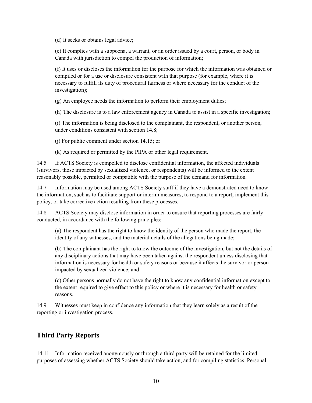(d) It seeks or obtains legal advice;

(e) It complies with a subpoena, a warrant, or an order issued by a court, person, or body in Canada with jurisdiction to compel the production of information;

(f) It uses or discloses the information for the purpose for which the information was obtained or compiled or for a use or disclosure consistent with that purpose (for example, where it is necessary to fulfill its duty of procedural fairness or where necessary for the conduct of the investigation);

(g) An employee needs the information to perform their employment duties;

(h) The disclosure is to a law enforcement agency in Canada to assist in a specific investigation;

(i) The information is being disclosed to the complainant, the respondent, or another person, under conditions consistent with section 14.8;

(j) For public comment under section 14.15; or

(k) As required or permitted by the PIPA or other legal requirement.

14.5 If ACTS Society is compelled to disclose confidential information, the affected individuals (survivors, those impacted by sexualized violence, or respondents) will be informed to the extent reasonably possible, permitted or compatible with the purpose of the demand for information.

14.7 Information may be used among ACTS Society staff if they have a demonstrated need to know the information, such as to facilitate support or interim measures, to respond to a report, implement this policy, or take corrective action resulting from these processes.

14.8 ACTS Society may disclose information in order to ensure that reporting processes are fairly conducted, in accordance with the following principles:

(a) The respondent has the right to know the identity of the person who made the report, the identity of any witnesses, and the material details of the allegations being made;

(b) The complainant has the right to know the outcome of the investigation, but not the details of any disciplinary actions that may have been taken against the respondent unless disclosing that information is necessary for health or safety reasons or because it affects the survivor or person impacted by sexualized violence; and

(c) Other persons normally do not have the right to know any confidential information except to the extent required to give effect to this policy or where it is necessary for health or safety reasons.

14.9 Witnesses must keep in confidence any information that they learn solely as a result of the reporting or investigation process.

## **Third Party Reports**

14.11 Information received anonymously or through a third party will be retained for the limited purposes of assessing whether ACTS Society should take action, and for compiling statistics. Personal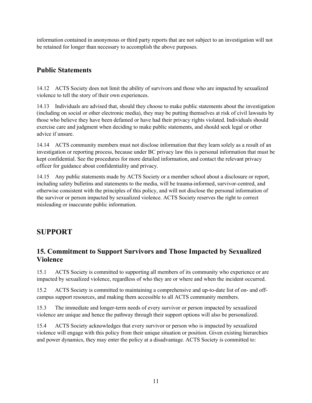information contained in anonymous or third party reports that are not subject to an investigation will not be retained for longer than necessary to accomplish the above purposes.

# **Public Statements**

14.12 ACTS Society does not limit the ability of survivors and those who are impacted by sexualized violence to tell the story of their own experiences.

14.13 Individuals are advised that, should they choose to make public statements about the investigation (including on social or other electronic media), they may be putting themselves at risk of civil lawsuits by those who believe they have been defamed or have had their privacy rights violated. Individuals should exercise care and judgment when deciding to make public statements, and should seek legal or other advice if unsure.

14.14 ACTS community members must not disclose information that they learn solely as a result of an investigation or reporting process, because under BC privacy law this is personal information that must be kept confidential. See the procedures for more detailed information, and contact the relevant privacy officer for guidance about confidentiality and privacy.

14.15 Any public statements made by ACTS Society or a member school about a disclosure or report, including safety bulletins and statements to the media, will be trauma-informed, survivor-centred, and otherwise consistent with the principles of this policy, and will not disclose the personal information of the survivor or person impacted by sexualized violence. ACTS Society reserves the right to correct misleading or inaccurate public information.

# **SUPPORT**

## **15. Commitment to Support Survivors and Those Impacted by Sexualized Violence**

15.1 ACTS Society is committed to supporting all members of its community who experience or are impacted by sexualized violence, regardless of who they are or where and when the incident occurred.

15.2 ACTS Society is committed to maintaining a comprehensive and up-to-date list of on- and offcampus support resources, and making them accessible to all ACTS community members.

15.3 The immediate and longer-term needs of every survivor or person impacted by sexualized violence are unique and hence the pathway through their support options will also be personalized.

15.4 ACTS Society acknowledges that every survivor or person who is impacted by sexualized violence will engage with this policy from their unique situation or position. Given existing hierarchies and power dynamics, they may enter the policy at a disadvantage. ACTS Society is committed to: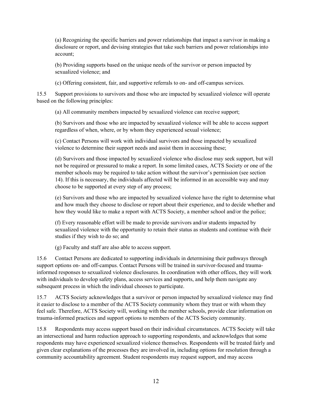(a) Recognizing the specific barriers and power relationships that impact a survivor in making a disclosure or report, and devising strategies that take such barriers and power relationships into account;

(b) Providing supports based on the unique needs of the survivor or person impacted by sexualized violence; and

(c) Offering consistent, fair, and supportive referrals to on- and off-campus services.

15.5 Support provisions to survivors and those who are impacted by sexualized violence will operate based on the following principles:

(a) All community members impacted by sexualized violence can receive support;

(b) Survivors and those who are impacted by sexualized violence will be able to access support regardless of when, where, or by whom they experienced sexual violence;

(c) Contact Persons will work with individual survivors and those impacted by sexualized violence to determine their support needs and assist them in accessing these;

(d) Survivors and those impacted by sexualized violence who disclose may seek support, but will not be required or pressured to make a report. In some limited cases, ACTS Society or one of the member schools may be required to take action without the survivor's permission (see section 14). If this is necessary, the individuals affected will be informed in an accessible way and may choose to be supported at every step of any process;

(e) Survivors and those who are impacted by sexualized violence have the right to determine what and how much they choose to disclose or report about their experience, and to decide whether and how they would like to make a report with ACTS Society, a member school and/or the police;

(f) Every reasonable effort will be made to provide survivors and/or students impacted by sexualized violence with the opportunity to retain their status as students and continue with their studies if they wish to do so; and

(g) Faculty and staff are also able to access support.

15.6 Contact Persons are dedicated to supporting individuals in determining their pathways through support options on- and off-campus. Contact Persons will be trained in survivor-focused and traumainformed responses to sexualized violence disclosures. In coordination with other offices, they will work with individuals to develop safety plans, access services and supports, and help them navigate any subsequent process in which the individual chooses to participate.

15.7 ACTS Society acknowledges that a survivor or person impacted by sexualized violence may find it easier to disclose to a member of the ACTS Society community whom they trust or with whom they feel safe. Therefore, ACTS Society will, working with the member schools, provide clear information on trauma-informed practices and support options to members of the ACTS Society community.

15.8 Respondents may access support based on their individual circumstances. ACTS Society will take an intersectional and harm reduction approach to supporting respondents, and acknowledges that some respondents may have experienced sexualized violence themselves. Respondents will be treated fairly and given clear explanations of the processes they are involved in, including options for resolution through a community accountability agreement. Student respondents may request support, and may access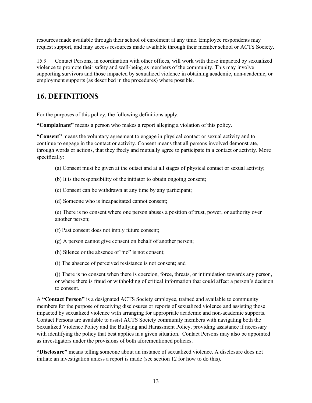resources made available through their school of enrolment at any time. Employee respondents may request support, and may access resources made available through their member school or ACTS Society.

15.9 Contact Persons, in coordination with other offices, will work with those impacted by sexualized violence to promote their safety and well-being as members of the community. This may involve supporting survivors and those impacted by sexualized violence in obtaining academic, non-academic, or employment supports (as described in the procedures) where possible.

# **16. DEFINITIONS**

For the purposes of this policy, the following definitions apply.

**"Complainant"** means a person who makes a report alleging a violation of this policy.

**"Consent"** means the voluntary agreement to engage in physical contact or sexual activity and to continue to engage in the contact or activity. Consent means that all persons involved demonstrate, through words or actions, that they freely and mutually agree to participate in a contact or activity. More specifically:

- (a) Consent must be given at the outset and at all stages of physical contact or sexual activity;
- (b) It is the responsibility of the initiator to obtain ongoing consent;
- (c) Consent can be withdrawn at any time by any participant;
- (d) Someone who is incapacitated cannot consent;

(e) There is no consent where one person abuses a position of trust, power, or authority over another person;

- (f) Past consent does not imply future consent;
- (g) A person cannot give consent on behalf of another person;
- (h) Silence or the absence of "no" is not consent;
- (i) The absence of perceived resistance is not consent; and

(j) There is no consent when there is coercion, force, threats, or intimidation towards any person, or where there is fraud or withholding of critical information that could affect a person's decision to consent.

A **"Contact Person"** is a designated ACTS Society employee, trained and available to community members for the purpose of receiving disclosures or reports of sexualized violence and assisting those impacted by sexualized violence with arranging for appropriate academic and non-academic supports. Contact Persons are available to assist ACTS Society community members with navigating both the Sexualized Violence Policy and the Bullying and Harassment Policy, providing assistance if necessary with identifying the policy that best applies in a given situation. Contact Persons may also be appointed as investigators under the provisions of both aforementioned policies.

**"Disclosure"** means telling someone about an instance of sexualized violence. A disclosure does not initiate an investigation unless a report is made (see section 12 for how to do this).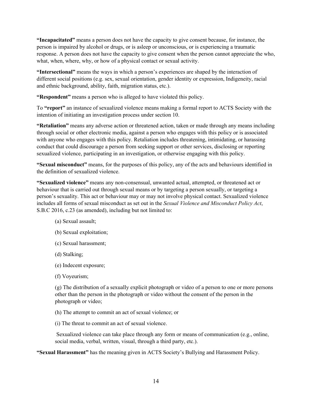**"Incapacitated"** means a person does not have the capacity to give consent because, for instance, the person is impaired by alcohol or drugs, or is asleep or unconscious, or is experiencing a traumatic response. A person does not have the capacity to give consent when the person cannot appreciate the who, what, when, where, why, or how of a physical contact or sexual activity.

**"Intersectional"** means the ways in which a person's experiences are shaped by the interaction of different social positions (e.g. sex, sexual orientation, gender identity or expression, Indigeneity, racial and ethnic background, ability, faith, migration status, etc.).

**"Respondent"** means a person who is alleged to have violated this policy.

To **"report"** an instance of sexualized violence means making a formal report to ACTS Society with the intention of initiating an investigation process under section 10.

**"Retaliation"** means any adverse action or threatened action, taken or made through any means including through social or other electronic media, against a person who engages with this policy or is associated with anyone who engages with this policy. Retaliation includes threatening, intimidating, or harassing conduct that could discourage a person from seeking support or other services, disclosing or reporting sexualized violence, participating in an investigation, or otherwise engaging with this policy.

**"Sexual misconduct"** means, for the purposes of this policy, any of the acts and behaviours identified in the definition of sexualized violence.

**"Sexualized violence"** means any non-consensual, unwanted actual, attempted, or threatened act or behaviour that is carried out through sexual means or by targeting a person sexually, or targeting a person's sexuality. This act or behaviour may or may not involve physical contact. Sexualized violence includes all forms of sexual misconduct as set out in the *Sexual Violence and Misconduct Policy Act*, S.B.C 2016, c.23 (as amended), including but not limited to:

- (a) Sexual assault;
- (b) Sexual exploitation;
- (c) Sexual harassment;
- (d) Stalking;
- (e) Indecent exposure;
- (f) Voyeurism;

(g) The distribution of a sexually explicit photograph or video of a person to one or more persons other than the person in the photograph or video without the consent of the person in the photograph or video;

(h) The attempt to commit an act of sexual violence; or

(i) The threat to commit an act of sexual violence.

Sexualized violence can take place through any form or means of communication (e.g., online, social media, verbal, written, visual, through a third party, etc.).

**"Sexual Harassment"** has the meaning given in ACTS Society's Bullying and Harassment Policy.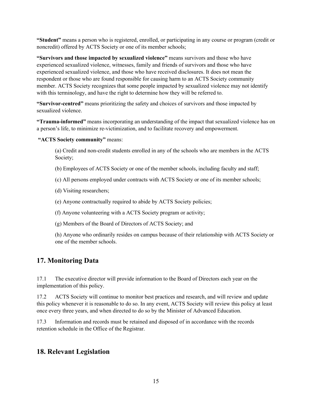**"Student"** means a person who is registered, enrolled, or participating in any course or program (credit or noncredit) offered by ACTS Society or one of its member schools;

**"Survivors and those impacted by sexualized violence"** means survivors and those who have experienced sexualized violence, witnesses, family and friends of survivors and those who have experienced sexualized violence, and those who have received disclosures. It does not mean the respondent or those who are found responsible for causing harm to an ACTS Society community member. ACTS Society recognizes that some people impacted by sexualized violence may not identify with this terminology, and have the right to determine how they will be referred to.

**"Survivor-centred"** means prioritizing the safety and choices of survivors and those impacted by sexualized violence.

**"Trauma-informed"** means incorporating an understanding of the impact that sexualized violence has on a person's life, to minimize re-victimization, and to facilitate recovery and empowerment.

**"ACTS Society community"** means:

(a) Credit and non-credit students enrolled in any of the schools who are members in the ACTS Society;

(b) Employees of ACTS Society or one of the member schools, including faculty and staff;

(c) All persons employed under contracts with ACTS Society or one of its member schools;

(d) Visiting researchers;

(e) Anyone contractually required to abide by ACTS Society policies;

(f) Anyone volunteering with a ACTS Society program or activity;

(g) Members of the Board of Directors of ACTS Society; and

(h) Anyone who ordinarily resides on campus because of their relationship with ACTS Society or one of the member schools.

## **17. Monitoring Data**

17.1 The executive director will provide information to the Board of Directors each year on the implementation of this policy.

17.2 ACTS Society will continue to monitor best practices and research, and will review and update this policy whenever it is reasonable to do so. In any event, ACTS Society will review this policy at least once every three years, and when directed to do so by the Minister of Advanced Education.

17.3 Information and records must be retained and disposed of in accordance with the records retention schedule in the Office of the Registrar.

#### **18. Relevant Legislation**